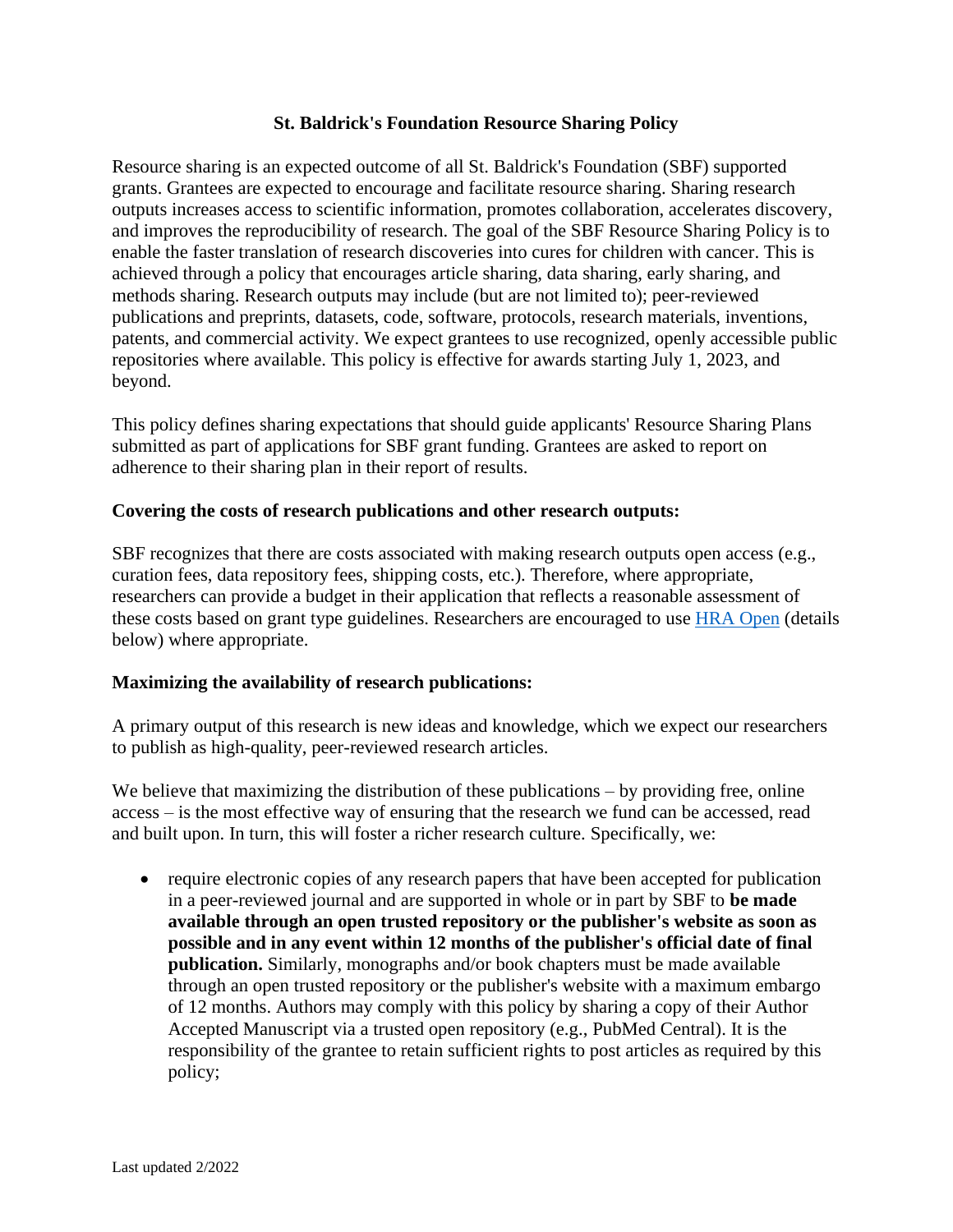## **St. Baldrick's Foundation Resource Sharing Policy**

Resource sharing is an expected outcome of all St. Baldrick's Foundation (SBF) supported grants. Grantees are expected to encourage and facilitate resource sharing. Sharing research outputs increases access to scientific information, promotes collaboration, accelerates discovery, and improves the reproducibility of research. The goal of the SBF Resource Sharing Policy is to enable the faster translation of research discoveries into cures for children with cancer. This is achieved through a policy that encourages article sharing, data sharing, early sharing, and methods sharing. Research outputs may include (but are not limited to); peer-reviewed publications and preprints, datasets, code, software, protocols, research materials, inventions, patents, and commercial activity. We expect grantees to use recognized, openly accessible public repositories where available. This policy is effective for awards starting July 1, 2023, and beyond.

This policy defines sharing expectations that should guide applicants' Resource Sharing Plans submitted as part of applications for SBF grant funding. Grantees are asked to report on adherence to their sharing plan in their report of results.

## **Covering the costs of research publications and other research outputs:**

SBF recognizes that there are costs associated with making research outputs open access (e.g., curation fees, data repository fees, shipping costs, etc.). Therefore, where appropriate, researchers can provide a budget in their application that reflects a reasonable assessment of these costs based on grant type guidelines. Researchers are encouraged to use [HRA Open](https://www.healthra.org/hra-platforms/hra-open/) (details below) where appropriate.

## **Maximizing the availability of research publications:**

A primary output of this research is new ideas and knowledge, which we expect our researchers to publish as high-quality, peer-reviewed research articles.

We believe that maximizing the distribution of these publications – by providing free, online access – is the most effective way of ensuring that the research we fund can be accessed, read and built upon. In turn, this will foster a richer research culture. Specifically, we:

• require electronic copies of any research papers that have been accepted for publication in a peer-reviewed journal and are supported in whole or in part by SBF to **be made available through an open trusted repository or the publisher's website as soon as possible and in any event within 12 months of the publisher's official date of final publication.** Similarly, monographs and/or book chapters must be made available through an open trusted repository or the publisher's website with a maximum embargo of 12 months. Authors may comply with this policy by sharing a copy of their Author Accepted Manuscript via a trusted open repository (e.g., PubMed Central). It is the responsibility of the grantee to retain sufficient rights to post articles as required by this policy;